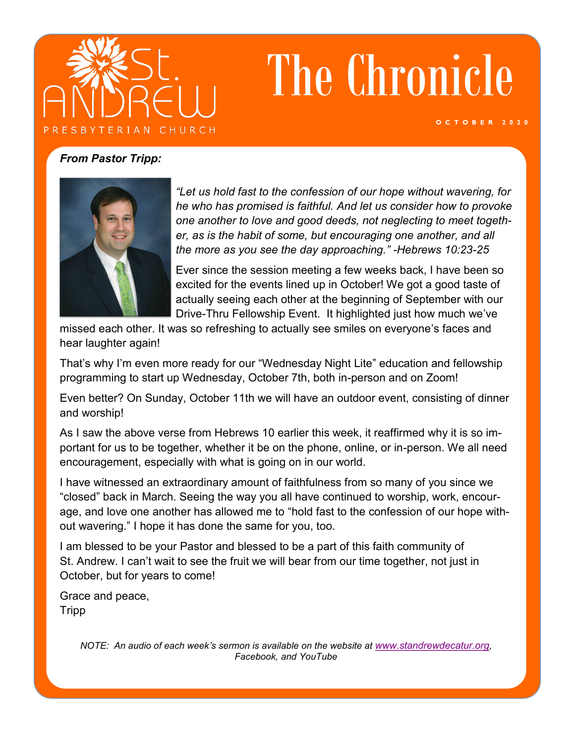

# The Chronicle

**O C T O B E R 2 0 2 0**

#### *From Pastor Tripp:*



*"Let us hold fast to the confession of our hope without wavering, for he who has promised is faithful. And let us consider how to provoke one another to love and good deeds, not neglecting to meet together, as is the habit of some, but encouraging one another, and all the more as you see the day approaching." -Hebrews 10:23-25*

Ever since the session meeting a few weeks back, I have been so excited for the events lined up in October! We got a good taste of actually seeing each other at the beginning of September with our Drive-Thru Fellowship Event. It highlighted just how much we've

missed each other. It was so refreshing to actually see smiles on everyone's faces and hear laughter again!

That's why I'm even more ready for our "Wednesday Night Lite" education and fellowship programming to start up Wednesday, October 7th, both in-person and on Zoom!

Even better? On Sunday, October 11th we will have an outdoor event, consisting of dinner and worship!

As I saw the above verse from Hebrews 10 earlier this week, it reaffirmed why it is so important for us to be together, whether it be on the phone, online, or in-person. We all need encouragement, especially with what is going on in our world.

I have witnessed an extraordinary amount of faithfulness from so many of you since we "closed" back in March. Seeing the way you all have continued to worship, work, encourage, and love one another has allowed me to "hold fast to the confession of our hope without wavering." I hope it has done the same for you, too.

I am blessed to be your Pastor and blessed to be a part of this faith community of St. Andrew. I can't wait to see the fruit we will bear from our time together, not just in October, but for years to come!

Grace and peace, Tripp

> *NOTE: An audio of each week's sermon is available on the website at [www.standrewdecatur.org](http://www.standrewdecatur.org), Facebook, and YouTube*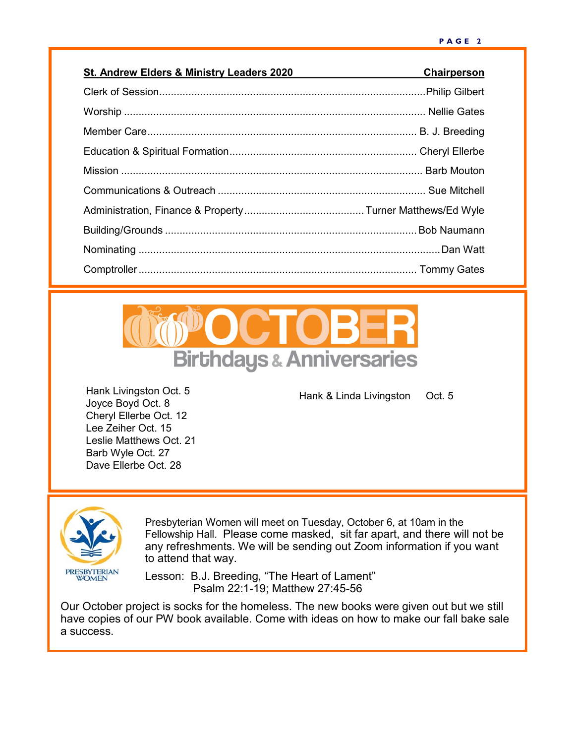| <b>St. Andrew Elders &amp; Ministry Leaders 2020</b> | Chairperson |
|------------------------------------------------------|-------------|
|                                                      |             |
|                                                      |             |
|                                                      |             |
|                                                      |             |
|                                                      |             |
|                                                      |             |
|                                                      |             |
|                                                      |             |
|                                                      |             |
|                                                      |             |



Hank & Linda Livingston Oct. 5

Hank Livingston Oct. 5 Joyce Boyd Oct. 8 Cheryl Ellerbe Oct. 12 Lee Zeiher Oct. 15 Leslie Matthews Oct. 21 Barb Wyle Oct. 27 Dave Ellerbe Oct. 28



Presbyterian Women will meet on Tuesday, October 6, at 10am in the Fellowship Hall. Please come masked, sit far apart, and there will not be any refreshments. We will be sending out Zoom information if you want to attend that way.

Lesson: B.J. Breeding, "The Heart of Lament" Psalm 22:1-19; Matthew 27:45-56

Our October project is socks for the homeless. The new books were given out but we still have copies of our PW book available. Come with ideas on how to make our fall bake sale a success.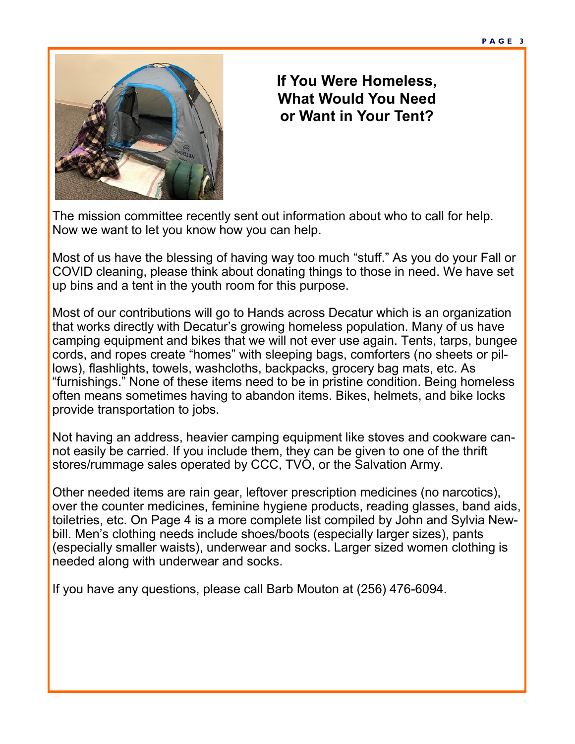

### **If You Were Homeless, What Would You Need or Want in Your Tent?**

The mission committee recently sent out information about who to call for help. Now we want to let you know how you can help.

Most of us have the blessing of having way too much "stuff." As you do your Fall or COVID cleaning, please think about donating things to those in need. We have set up bins and a tent in the youth room for this purpose.

Most of our contributions will go to Hands across Decatur which is an organization that works directly with Decatur's growing homeless population. Many of us have camping equipment and bikes that we will not ever use again. Tents, tarps, bungee cords, and ropes create "homes" with sleeping bags, comforters (no sheets or pillows), flashlights, towels, washcloths, backpacks, grocery bag mats, etc. As "furnishings." None of these items need to be in pristine condition. Being homeless often means sometimes having to abandon items. Bikes, helmets, and bike locks provide transportation to jobs.

Not having an address, heavier camping equipment like stoves and cookware cannot easily be carried. If you include them, they can be given to one of the thrift stores/rummage sales operated by CCC, TVO, or the Salvation Army.

Other needed items are rain gear, leftover prescription medicines (no narcotics), over the counter medicines, feminine hygiene products, reading glasses, band aids, toiletries, etc. On Page 4 is a more complete list compiled by John and Sylvia Newbill. Men's clothing needs include shoes/boots (especially larger sizes), pants (especially smaller waists), underwear and socks. Larger sized women clothing is needed along with underwear and socks.

If you have any questions, please call Barb Mouton at (256) 476-6094.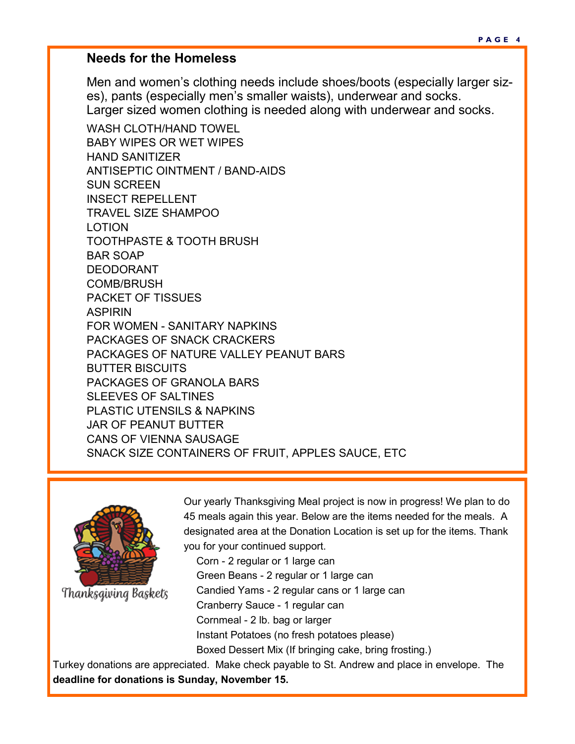#### **Needs for the Homeless**

Men and women's clothing needs include shoes/boots (especially larger sizes), pants (especially men's smaller waists), underwear and socks. Larger sized women clothing is needed along with underwear and socks.

WASH CLOTH/HAND TOWEL BABY WIPES OR WET WIPES HAND SANITIZER ANTISEPTIC OINTMENT / BAND-AIDS SUN SCREEN INSECT REPELLENT TRAVEL SIZE SHAMPOO LOTION TOOTHPASTE & TOOTH BRUSH BAR SOAP DEODORANT COMB/BRUSH PACKET OF TISSUES ASPIRIN FOR WOMEN - SANITARY NAPKINS PACKAGES OF SNACK CRACKERS PACKAGES OF NATURE VALLEY PEANUT BARS BUTTER BISCUITS PACKAGES OF GRANOLA BARS SLEEVES OF SALTINES PLASTIC UTENSILS & NAPKINS JAR OF PEANUT BUTTER CANS OF VIENNA SAUSAGE SNACK SIZE CONTAINERS OF FRUIT, APPLES SAUCE, ETC



Thanksgiving Baskets

Our yearly Thanksgiving Meal project is now in progress! We plan to do 45 meals again this year. Below are the items needed for the meals. A designated area at the Donation Location is set up for the items. Thank you for your continued support.

Corn - 2 regular or 1 large can Green Beans - 2 regular or 1 large can Candied Yams - 2 regular cans or 1 large can Cranberry Sauce - 1 regular can Cornmeal - 2 lb. bag or larger Instant Potatoes (no fresh potatoes please) Boxed Dessert Mix (If bringing cake, bring frosting.)

Turkey donations are appreciated. Make check payable to St. Andrew and place in envelope. The **deadline for donations is Sunday, November 15.**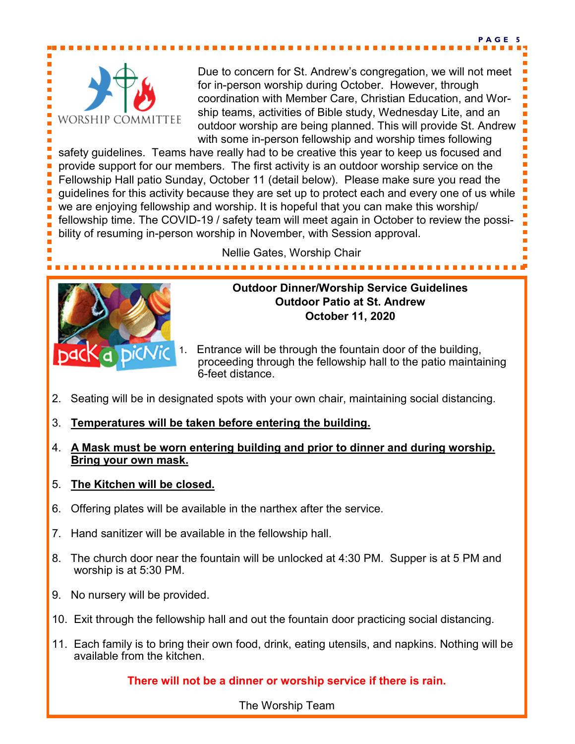

Due to concern for St. Andrew's congregation, we will not meet for in-person worship during October. However, through coordination with Member Care, Christian Education, and Worship teams, activities of Bible study, Wednesday Lite, and an outdoor worship are being planned. This will provide St. Andrew with some in-person fellowship and worship times following

**P A G E 5**

safety guidelines. Teams have really had to be creative this year to keep us focused and provide support for our members. The first activity is an outdoor worship service on the Fellowship Hall patio Sunday, October 11 (detail below). Please make sure you read the guidelines for this activity because they are set up to protect each and every one of us while we are enjoying fellowship and worship. It is hopeful that you can make this worship/ fellowship time. The COVID-19 / safety team will meet again in October to review the possibility of resuming in-person worship in November, with Session approval.

Nellie Gates, Worship Chair



#### **Outdoor Dinner/Worship Service Guidelines Outdoor Patio at St. Andrew October 11, 2020**

- 1. Entrance will be through the fountain door of the building, proceeding through the fellowship hall to the patio maintaining 6-feet distance.
- 2. Seating will be in designated spots with your own chair, maintaining social distancing.
- 3. **Temperatures will be taken before entering the building.**
- 4. **A Mask must be worn entering building and prior to dinner and during worship. Bring your own mask.**
- 5. **The Kitchen will be closed.**
- 6. Offering plates will be available in the narthex after the service.
- 7. Hand sanitizer will be available in the fellowship hall.
- 8. The church door near the fountain will be unlocked at 4:30 PM. Supper is at 5 PM and worship is at 5:30 PM.
- 9. No nursery will be provided.
- 10. Exit through the fellowship hall and out the fountain door practicing social distancing.
- 11. Each family is to bring their own food, drink, eating utensils, and napkins. Nothing will be available from the kitchen.

#### **There will not be a dinner or worship service if there is rain.**

The Worship Team